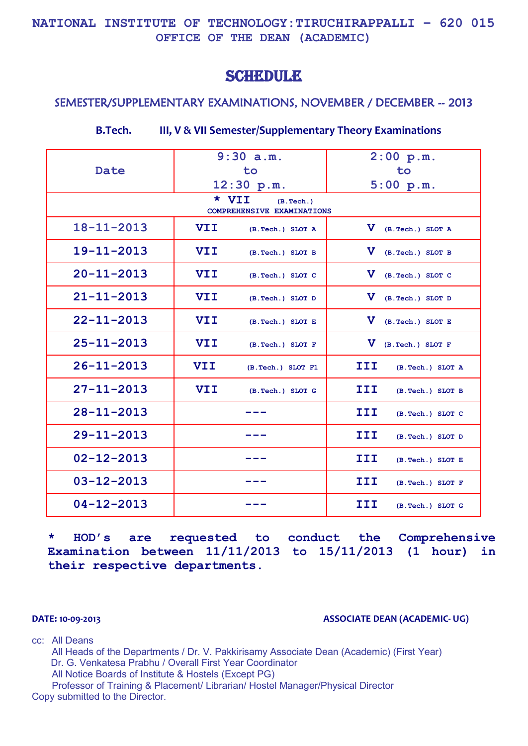### **NATIONAL INSTITUTE OF TECHNOLOGY:TIRUCHIRAPPALLI – 620 015 OFFICE OF THE DEAN (ACADEMIC)**

# **SCHEDULE**

### SEMESTER/SUPPLEMENTARY EXAMINATIONS, NOVEMBER / DECEMBER -- 2013

|                                                   | 9:30 a.m.  |                   | 2:00 p.m.    |                  |
|---------------------------------------------------|------------|-------------------|--------------|------------------|
| <b>Date</b>                                       | to         |                   | to           |                  |
|                                                   | 12:30 p.m. |                   |              | 5:00 p.m.        |
| * VII<br>(B. Tech.)<br>COMPREHENSIVE EXAMINATIONS |            |                   |              |                  |
|                                                   |            |                   |              |                  |
| $18 - 11 - 2013$                                  | <b>VII</b> | (B.Tech.) SLOT A  | $\mathbf{v}$ | (B.Tech.) SLOT A |
| $19 - 11 - 2013$                                  | VII        | (B.Tech.) SLOT B  | v            | (B.Tech.) SLOT B |
| $20 - 11 - 2013$                                  | <b>VII</b> | (B.Tech.) SLOT C  | $\mathbf v$  | (B.Tech.) SLOT C |
| $21 - 11 - 2013$                                  | <b>VII</b> | (B.Tech.) SLOT D  | $\mathbf v$  | (B.Tech.) SLOT D |
| $22 - 11 - 2013$                                  | VII        | (B.Tech.) SLOT E  | v            | (B.Tech.) SLOT E |
| $25 - 11 - 2013$                                  | <b>VII</b> | (B.Tech.) SLOT F  | $\mathbf v$  | (B.Tech.) SLOT F |
| $26 - 11 - 2013$                                  | <b>VII</b> | (B.Tech.) SLOT F1 | III          | (B.Tech.) SLOT A |
| $27 - 11 - 2013$                                  | <b>VII</b> | (B.Tech.) SLOT G  | III          | (B.Tech.) SLOT B |
| $28 - 11 - 2013$                                  |            |                   | III          | (B.Tech.) SLOT C |
| $29 - 11 - 2013$                                  |            |                   | III          | (B.Tech.) SLOT D |
| $02 - 12 - 2013$                                  |            |                   | III          | (B.Tech.) SLOT E |
| $03 - 12 - 2013$                                  |            |                   | III          | (B.Tech.) SLOT F |
| $04 - 12 - 2013$                                  |            |                   | III          | (B.Tech.) SLOT G |

**\* HOD's are requested to conduct the Comprehensive Examination between 11/11/2013 to 15/11/2013 (1 hour) in their respective departments.**

#### **DATE: 10-09-2013 ASSOCIATE DEAN (ACADEMIC- UG)**

cc: All Deans

All Heads of the Departments / Dr. V. Pakkirisamy Associate Dean (Academic) (First Year) Dr. G. Venkatesa Prabhu / Overall First Year Coordinator All Notice Boards of Institute & Hostels (Except PG)

Professor of Training & Placement/ Librarian/ Hostel Manager/Physical Director Copy submitted to the Director.